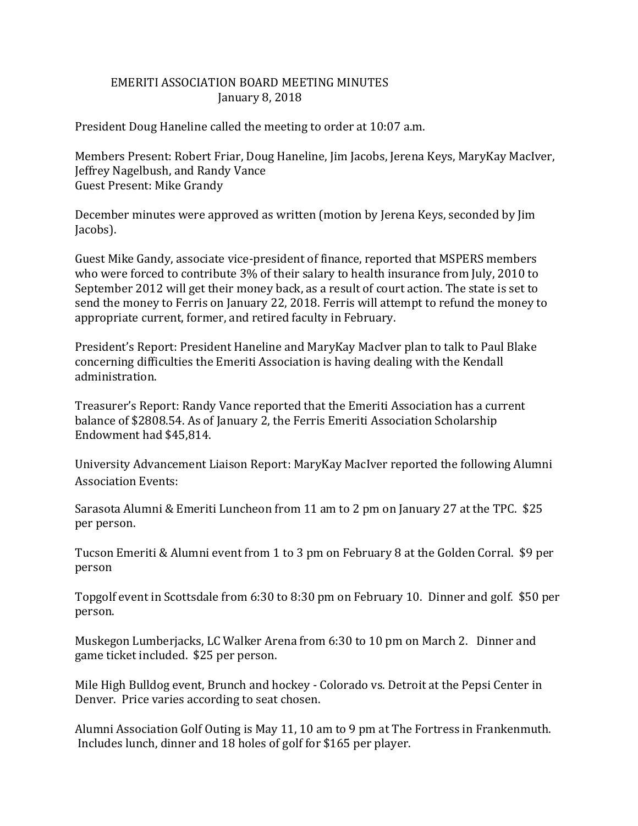## EMERITI ASSOCIATION BOARD MEETING MINUTES January 8, 2018

President Doug Haneline called the meeting to order at 10:07 a.m.

Members Present: Robert Friar, Doug Haneline, Jim Jacobs, Jerena Keys, MaryKay MacIver, Jeffrey Nagelbush, and Randy Vance Guest Present: Mike Grandy

December minutes were approved as written (motion by Jerena Keys, seconded by Jim Jacobs).

Guest Mike Gandy, associate vice-president of finance, reported that MSPERS members who were forced to contribute 3% of their salary to health insurance from July, 2010 to September 2012 will get their money back, as a result of court action. The state is set to send the money to Ferris on January 22, 2018. Ferris will attempt to refund the money to appropriate current, former, and retired faculty in February.

President's Report: President Haneline and MaryKay MacIver plan to talk to Paul Blake concerning difficulties the Emeriti Association is having dealing with the Kendall administration.

Treasurer's Report: Randy Vance reported that the Emeriti Association has a current balance of \$2808.54. As of January 2, the Ferris Emeriti Association Scholarship Endowment had \$45,814.

University Advancement Liaison Report: MaryKay MacIver reported the following Alumni Association Events:

Sarasota Alumni & Emeriti Luncheon from 11 am to 2 pm on January 27 at the TPC. \$25 per person.

Tucson Emeriti & Alumni event from 1 to 3 pm on February 8 at the Golden Corral. \$9 per person

Topgolf event in Scottsdale from 6:30 to 8:30 pm on February 10. Dinner and golf. \$50 per person.

Muskegon Lumberjacks, LC Walker Arena from 6:30 to 10 pm on March 2. Dinner and game ticket included. \$25 per person.

Mile High Bulldog event, Brunch and hockey - Colorado vs. Detroit at the Pepsi Center in Denver. Price varies according to seat chosen.

Alumni Association Golf Outing is May 11, 10 am to 9 pm at The Fortress in Frankenmuth. Includes lunch, dinner and 18 holes of golf for \$165 per player.